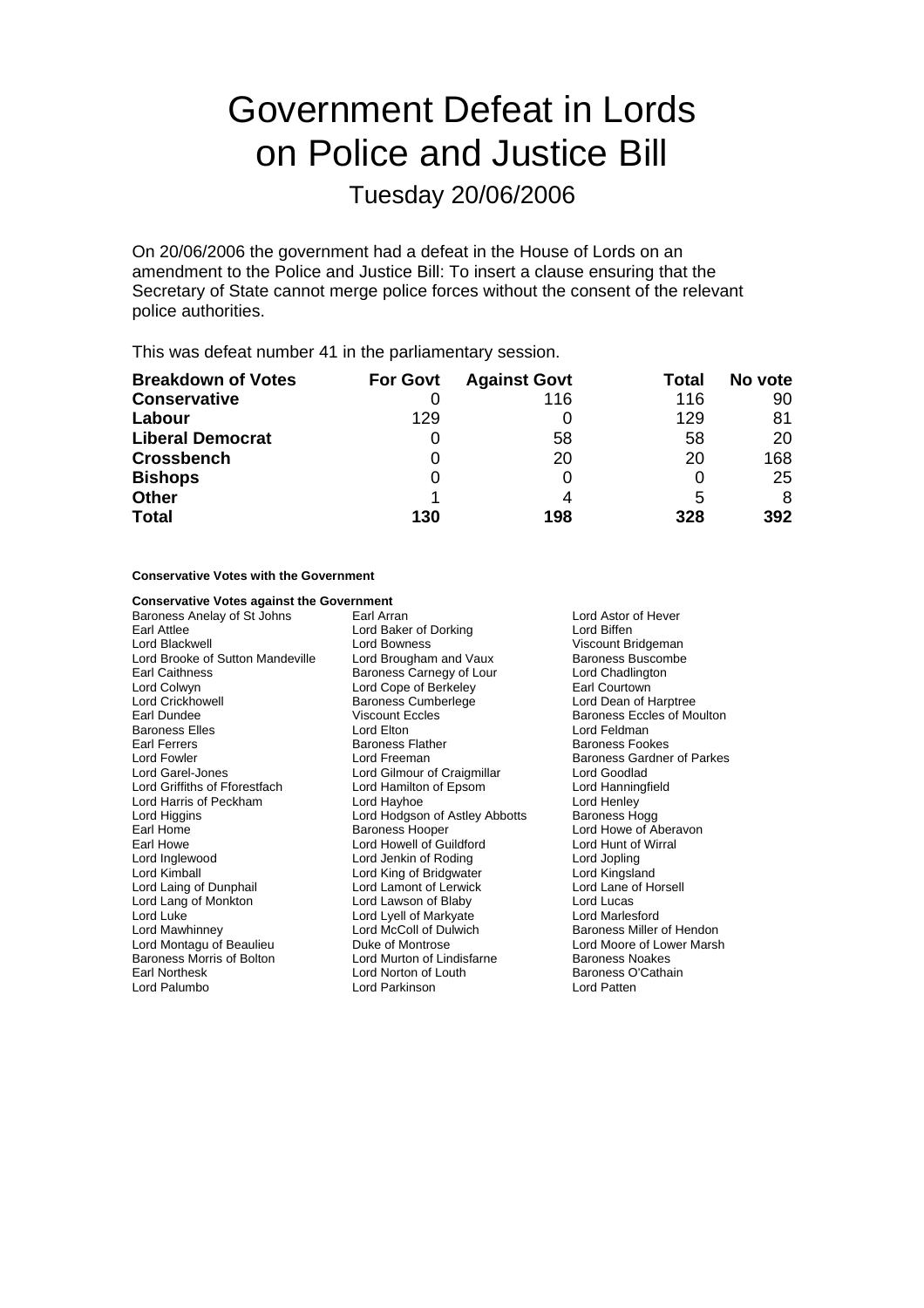# Government Defeat in Lords on Police and Justice Bill

Tuesday 20/06/2006

On 20/06/2006 the government had a defeat in the House of Lords on an amendment to the Police and Justice Bill: To insert a clause ensuring that the Secretary of State cannot merge police forces without the consent of the relevant police authorities.

This was defeat number 41 in the parliamentary session.

| <b>Breakdown of Votes</b> | <b>For Govt</b> | <b>Against Govt</b> | Total | No vote |
|---------------------------|-----------------|---------------------|-------|---------|
| <b>Conservative</b>       |                 | 116                 | 116   | 90      |
| Labour                    | 129             |                     | 129   | 81      |
| <b>Liberal Democrat</b>   | O               | 58                  | 58    | 20      |
| <b>Crossbench</b>         |                 | 20                  | 20    | 168     |
| <b>Bishops</b>            | 0               |                     | O     | 25      |
| <b>Other</b>              |                 |                     | 5     | 8       |
| <b>Total</b>              | 130             | 198                 | 328   | 392     |

#### **Conservative Votes with the Government**

# **Conservative Votes against the Government**<br>**Baroness Anelav of St Johns** Earl Arran

Baroness Anelay of St Johns Earl Arran Earl Arran Lord Astor of Hever<br>
Earl Attlee Carl Attlee Lord Biffen Lord Blackwell **Lord Bowness** Communist Communist Communist Communist Communist Communist Communist Communist Communist Communist Communist Communist Communist Communist Communist Communist Communist Communist Communist Co Lord Brooke of Sutton Mandeville Lord Brougham and Vaux Baroness Buscom<br>Earl Caithness Buscomber Baroness Carnegy of Lour Lord Chadlington Lord Colwyn Lord Cope of Berkeley Lord Crickhowell **Example 2** Baroness Cumberlege **1988** Lord Dean of Harptree **Example 2** Baroness Eccles of Mo Baroness Elles **Lord Elton** Lord Elton **Lord Elton** Lord Feldman Earl Ferrers Baroness Flather Baroness Fookes Lord Fowler **Lord Freeman** Lord Freeman Baroness Gardner of Parkes<br>
Lord Garel-Jones **Barones Lord Gilmour of Craigmillar** Lord Goodlad Lord Griffiths of Fforestfach Lord Harris of Peckham Lord Hayhoe Lord Henley<br>
Lord Higgins Cord Hodgson of Astley Abbotts Baroness Hogg Lord Higgins **Lord Hodgson of Astley Abbotts**<br>
Farl Home **Baroness Hooper** Earl Home **Baroness Hooper** Earl Home Lord Howe of Aberavon<br>
Earl Howe **Baroness Hooper** Earl Howe Lord Hunt of Wirral Earl Howe **Lord Howell of Guildford** Cord Hunt of Lord Hunt of Lord Hunt of Lord Inglewood **Lord Johns** Lord Inglewood **Collact Corporation Corporation** Lord Jenkin of Roding **Corporation Corporation Corporation**<br>
Lord King Lord Corporation Lord Corporation Corporation Lord Corporation Lord Kingsland Lord Laing of Dunphail **Lord Lamont of Lerwick** Lord Lane of Horsell Lord Lang of Monkton **Canadia Cord Lawson of Blaby** Cord Lucas<br>
Lord Luke Lord Lucas<br>
Lord Lord Lord Lord Lord Lord Markyate Lord Marlesford Lord Luke Lord Lyell of Markyate<br>
Lord Marcoll of Markyate<br>
Lord Marcoll of Dulwich Lord Montagu of Beaulieu **Communisty Controver Controse** Lord Moore of Lower Marsh<br>
Baroness Morris of Bolton **Lord Murton of Lindisfarne** Baroness Noakes Baroness Morris of Bolton Earl Northesk **Lord Norton of Louth** Baroness O'Cathain<br>
Lord Palumbo **Lord Parkinson** Lord Paten

Lord Baker of Dorking Earl Caithness Carnegy of Lour Lord Chadlingt<br>
Lord Cope of Berkeley Lord Courtown Lord Gilmour of Craigmillar Lord Goodlad<br>
Lord Hamilton of Epsom<br>
Lord Hanningfield Lord King of Bridgwater Lord Parkinson

Baroness Eccles of Moulton Baroness Miller of Hendon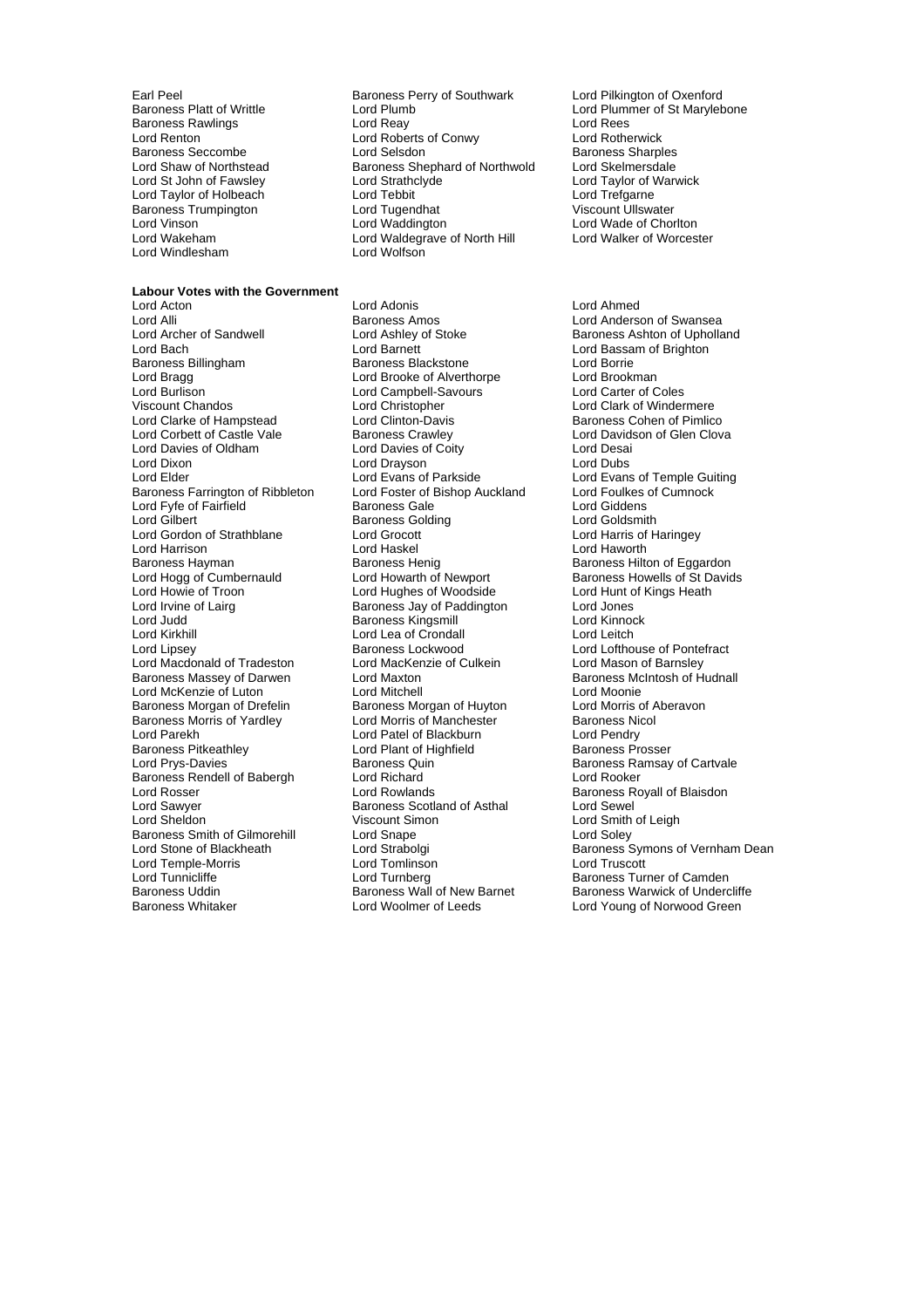Lord Renton Lord Roberts of Conwy<br>
Baroness Seccombe Lord Selsdon Baroness Trumpington Lord Tugendhat<br>
Lord Vinson Lord Waddington Lord Windlesham Lord Wolfson

### **Labour Votes with the Government**<br>**Lord Acton**

Lord Alli **Communist Communist Communist Communist Communist Communist Communist Communist Communist Communist Co**<br>Communist Communist Communist Communist Communist Communist Communist Communist Communist Communist Communi Lord Archer of Sandwell **Road Ashley of Stoke** Baroness Ashton of Upholland Lord Baroness Ashton of Upholland Lord Baroness Ashton of Upholland Lord Baroness Ashton of Upholland Baroness Billingham Lord Bragg Lord Brooke of Alverthorpe Lord Brookman<br>
Lord Burlison Lord Campbell-Savours Lord Carter of Coles Lord Burlison Lord Campbell-Savours<br>
Viscount Chandos<br>
Lord Christopher Lord Clarke of Hampstead<br>Lord Corbett of Castle Vale Lord Davies of Oldham Lord Davies of Coity Lord Desai Lord Dixon Lord Drayson Lord Dubs Baroness Farrington of Ribbleton Lord Foster of Bishop Auckland Lord Foulkes of Cumnock<br>
Lord Fyfe of Fairfield **in Lord Baroness Gale** Lord Giddens Lord Fyfe of Fairfield **Figure 1 Baroness Gale Figure 1** Lord Giddens<br>
Lord Gilbert **Figure 1 Baroness Golding** Ford Goldsmith Lord Gilbert **Baroness Golding**<br>
Lord Gordon of Strathblane **Baroness Colding** Lord Harrison **Lord Haskel Lord Handel** Lord Haworth Lord Haworth<br>Baroness Hayman **Baroness Henique Communist Communist Communist Communist Communist Communist Communist Communis** Baroness Hayman Baroness Henig Baroness Henig Baroness Hilton of Eggardon<br>
Lord Hogg of Cumbernauld Lord Howarth of Newport Baroness Howells of St David Lord Howie of Troon **Lord Hughes of Woodside** Lord Hunt of Kings Heath<br>
Lord Irvine of Lairg **Commence Commence** Baroness Jay of Paddington Lord Jones Lord Irvine of Lairg **Baroness Jay of Paddington** Lord Jones<br>
Lord Judd **Baroness Kingsmill** Lord Kinnock Lord Judd Baroness Kingsmill Lord Kinnock Lord Kirkhill Lord Lea of Crondall<br>
Lord Lipsey **Baroness Lockwood** Lord Macdonald of Tradeston Lord MacKenzie of Culkein Lord Mason of Barnsley Baroness Massey of Darwen **Lord Maxton** Lord McKenzie of Luton **Lord Mitchell** Lord Mitchell Lord Moonie<br>
Baroness Morgan of Drefelin Baroness Morgan of Huyton Lord Morris of Aberavon Baroness Morgan of Drefelin Baroness Morgan of Huyton Lord Morris of Aberavoness Morgan of Aberavoness Nicol<br>Baroness Morris of Yardley Lord Morris of Manchester Baroness Nicol Baroness Morris of Yardley Lord Morris of Manchester Baroness Nicol Baroness Pitkeathley **Communist Containst Lord Plant of Highfield** Baroness Prosser<br>
Lord Prys-Davies **Baroness Americans** Baroness Quin Baroness Rendell of Babergh Lord Richard<br>
Lord Rosser Lord Rowlands Lord Rosser **Lord Rowlands** Exercise Baroness Royall of Blaisdon<br>
Lord Sawyer **Baroness Scotland of Asthal** Burd Sewel Lord Sawyer **Baroness Scotland of Asthal Lord Sheldon**<br>
Lord Sheldon **Baroness Scotland Scotland Sheldon** Baroness Smith of Gilmorehill Lord Temple-Morris **Example Accept Lord Tomlinson**<br>
Lord Tunnicliffe **Research Corporation Lord Turnberg** Lord Tunnicliffe Turnberg Lord Turnberg Corporation Baroness Turner of Camden<br>Baroness Uddin Baroness Wall of New Barnet Baroness Warwick of Underc

Earl Peel<br>
Baroness Perry of Southwark Lord Pilkington of Oxenford<br>
Lord Plummer of St Maryleb<br>
Lord Plummer of St Maryleb Lord Plumb **Lord Plummer of St Marylebone**<br>
Lord Reav<br>
Lord Rees Baroness Rawlings **Example 2018**<br> **Baroness Rawlings** Western Lord Rearties of Conwy Conduct Report Lord Rotherwick Baroness Seccombe Lord Selsdon Communication Baroness Sharples<br>
Lord Shaw of Northstead Baroness Shephard of Northwold Lord Skelmersdale Baroness Shephard of Northwold Lord Skelmersdale<br>
Lord Strathclyde Lord Taylor of Warwick Lord St John of Fawsley Lord Strathclyde Lord Taylor of Vertex Cord Taylor of Vertex Cord Taylor of Vertex Lord Tebbit Lord Taylor of Holbeach Lord Tebbit Lord Trefgarne Lord Vinson Lord Waddington Lord Wade of Chorlton Lord Wade of Chorlton Lord Wade of Chorlton Lord Walker of Worcester Lord Waldegrave of North Hill<br>Lord Wolfson

Lord Acton Lord Adonis Lord Ahmed Lord Barnett<br>
Baroness Blackstone<br>
Lord Borrie<br>
Lord Borrie Lord Christopher **Lord Clark of Windermere**<br>
Lord Clinton-Davis **Consumer Consumer Consumer Consumer**<br>
Baroness Cohen of Pimlico Baroness Crawley **Corpe Example 2** Lord Davidson of Glen Clova<br>
Lord Davies of Coity **Lord Desai** Lord Grocott Lord Harris of Haringey Baroness Lockwood Lord Lofthouse of Pontefract<br>
Lord MacKenzie of Culkein Lord Mason of Barnsley Lord Patel of Blackburn Baroness Quin **Baroness Ramsay of Cartvale**<br> **Lord Richard** Baroness Ramsay of Cartvale Viscount Simon Lord Smith of Leigh<br>
Lord Soley<br>
Lord Soley

Lord Evans of Temple Guiting Baroness Howells of St Davids Lord Stone of Blackheath Lord Strabolgi<br>
Lord Temple-Morris **Communist Contains Communist Communist Communist Communist Communist Communist Communist Communist Communist Communist Communist Communist Communist Communist Co** Baroness Uddin Baroness Wall of New Barnet Baroness Warwick of Undercliffe<br>Baroness Whitaker **Baroness Long Woolmer of Leeds** Lord Young of Norwood Green Lord Young of Norwood Green